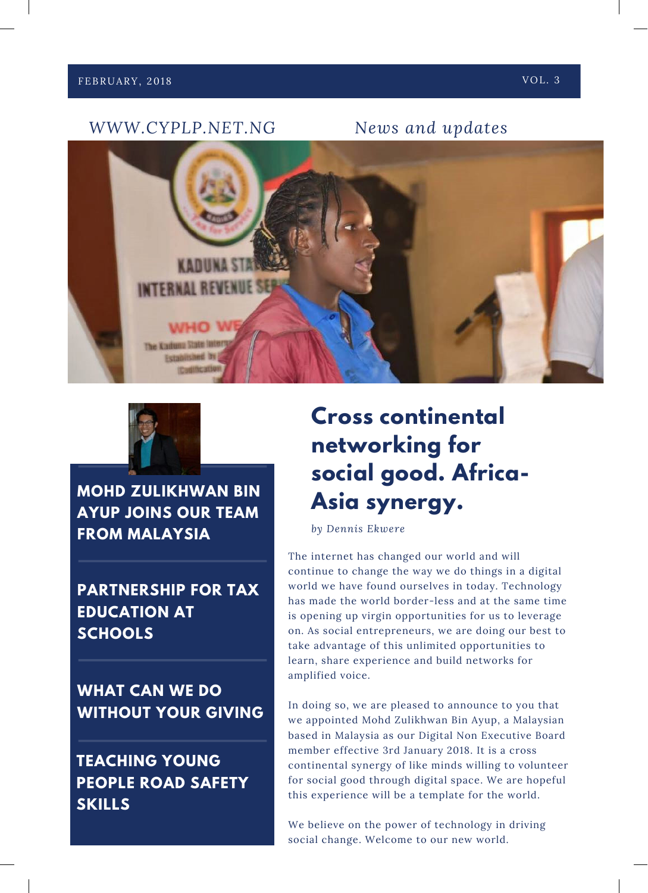



**MOHD ZULIKHWAN BIN AYUP JOINS OUR TEAM FROM MALAYSIA**

**PARTNERSHIP FOR TAX EDUCATION AT SCHOOLS**

**WHAT CAN WE DO WITHOUT YOUR GIVING**

**TEACHING YOUNG PEOPLE ROAD SAFETY SKILLS**

## **Cross continental networking for social good. Africa-Asia synergy.**

*by Dennis Ekwere*

The internet has changed our world and will continue to change the way we do things in a digital world we have found ourselves in today. Technology has made the world border-less and at the same time is opening up virgin opportunities for us to leverage on. As social entrepreneurs, we are doing our best to take advantage of this unlimited opportunities to learn, share experience and build networks for amplified voice.

In doing so, we are pleased to announce to you that we appointed Mohd Zulikhwan Bin Ayup, a Malaysian based in Malaysia as our Digital Non Executive Board member effective 3rd January 2018. It is a cross continental synergy of like minds willing to volunteer for social good through digital space. We are hopeful this experience will be a template for the world.

We believe on the power of technology in driving social change. Welcome to our new world.